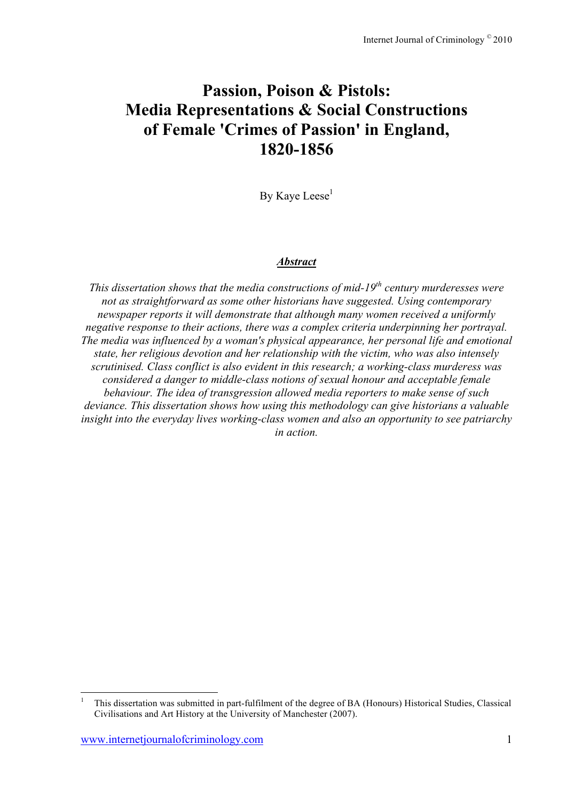# **Passion, Poison & Pistols: Media Representations & Social Constructions of Female 'Crimes of Passion' in England, 1820-1856**

By Kave Leese<sup>1</sup>

## *Abstract*

*This dissertation shows that the media constructions of mid-19<sup>th</sup> century murderesses were not as straightforward as some other historians have suggested. Using contemporary newspaper reports it will demonstrate that although many women received a uniformly negative response to their actions, there was a complex criteria underpinning her portrayal. The media was influenced by a woman's physical appearance, her personal life and emotional state, her religious devotion and her relationship with the victim, who was also intensely scrutinised. Class conflict is also evident in this research; a working-class murderess was considered a danger to middle-class notions of sexual honour and acceptable female behaviour. The idea of transgression allowed media reporters to make sense of such deviance. This dissertation shows how using this methodology can give historians a valuable insight into the everyday lives working-class women and also an opportunity to see patriarchy in action.*

 <sup>1</sup> This dissertation was submitted in part-fulfilment of the degree of BA (Honours) Historical Studies, Classical Civilisations and Art History at the University of Manchester (2007).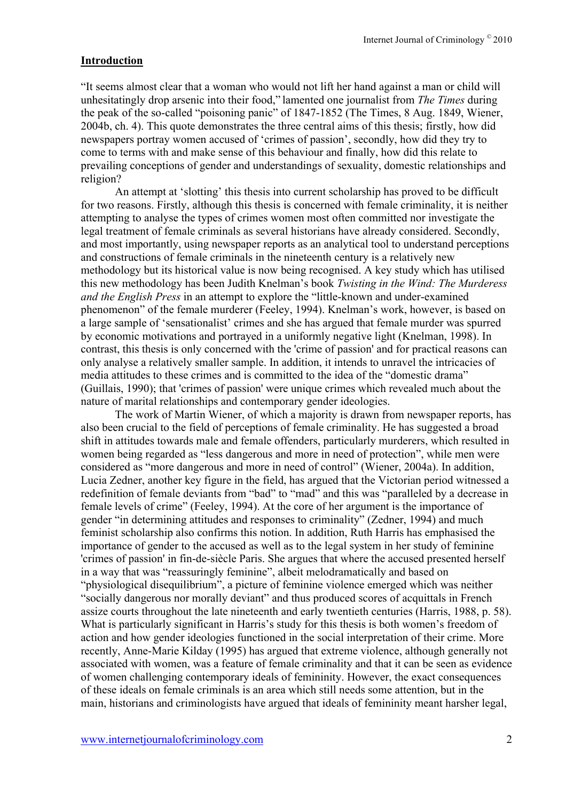# **Introduction**

"It seems almost clear that a woman who would not lift her hand against a man or child will unhesitatingly drop arsenic into their food," lamented one journalist from *The Times* during the peak of the so-called "poisoning panic" of 1847-1852 (The Times, 8 Aug. 1849, Wiener, 2004b, ch. 4). This quote demonstrates the three central aims of this thesis; firstly, how did newspapers portray women accused of 'crimes of passion', secondly, how did they try to come to terms with and make sense of this behaviour and finally, how did this relate to prevailing conceptions of gender and understandings of sexuality, domestic relationships and religion?

An attempt at 'slotting' this thesis into current scholarship has proved to be difficult for two reasons. Firstly, although this thesis is concerned with female criminality, it is neither attempting to analyse the types of crimes women most often committed nor investigate the legal treatment of female criminals as several historians have already considered. Secondly, and most importantly, using newspaper reports as an analytical tool to understand perceptions and constructions of female criminals in the nineteenth century is a relatively new methodology but its historical value is now being recognised. A key study which has utilised this new methodology has been Judith Knelman's book *Twisting in the Wind: The Murderess and the English Press* in an attempt to explore the "little-known and under-examined phenomenon" of the female murderer (Feeley, 1994). Knelman's work, however, is based on a large sample of 'sensationalist' crimes and she has argued that female murder was spurred by economic motivations and portrayed in a uniformly negative light (Knelman, 1998). In contrast, this thesis is only concerned with the 'crime of passion' and for practical reasons can only analyse a relatively smaller sample. In addition, it intends to unravel the intricacies of media attitudes to these crimes and is committed to the idea of the "domestic drama" (Guillais, 1990); that 'crimes of passion' were unique crimes which revealed much about the nature of marital relationships and contemporary gender ideologies.

The work of Martin Wiener, of which a majority is drawn from newspaper reports, has also been crucial to the field of perceptions of female criminality. He has suggested a broad shift in attitudes towards male and female offenders, particularly murderers, which resulted in women being regarded as "less dangerous and more in need of protection", while men were considered as "more dangerous and more in need of control" (Wiener, 2004a). In addition, Lucia Zedner, another key figure in the field, has argued that the Victorian period witnessed a redefinition of female deviants from "bad" to "mad" and this was "paralleled by a decrease in female levels of crime" (Feeley, 1994). At the core of her argument is the importance of gender "in determining attitudes and responses to criminality" (Zedner, 1994) and much feminist scholarship also confirms this notion. In addition, Ruth Harris has emphasised the importance of gender to the accused as well as to the legal system in her study of feminine 'crimes of passion' in fin-de-siècle Paris. She argues that where the accused presented herself in a way that was "reassuringly feminine", albeit melodramatically and based on "physiological disequilibrium", a picture of feminine violence emerged which was neither "socially dangerous nor morally deviant" and thus produced scores of acquittals in French assize courts throughout the late nineteenth and early twentieth centuries (Harris, 1988, p. 58). What is particularly significant in Harris's study for this thesis is both women's freedom of action and how gender ideologies functioned in the social interpretation of their crime. More recently, Anne-Marie Kilday (1995) has argued that extreme violence, although generally not associated with women, was a feature of female criminality and that it can be seen as evidence of women challenging contemporary ideals of femininity. However, the exact consequences of these ideals on female criminals is an area which still needs some attention, but in the main, historians and criminologists have argued that ideals of femininity meant harsher legal,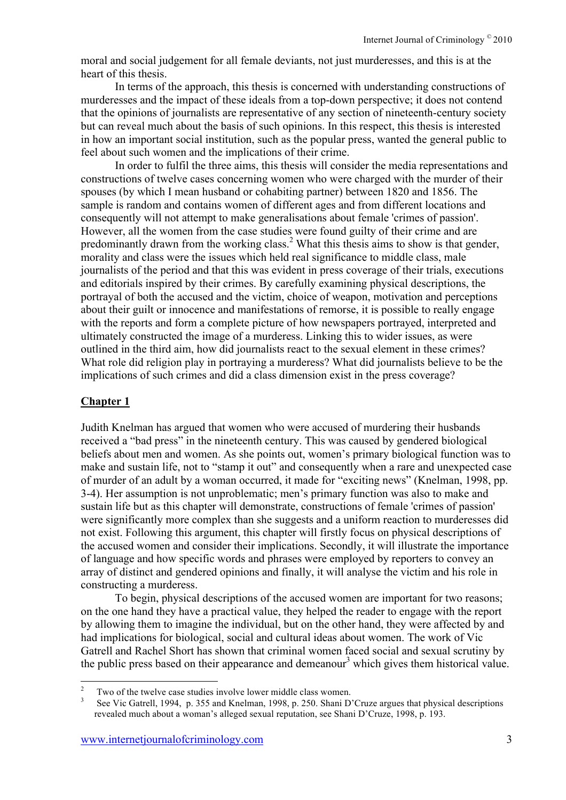moral and social judgement for all female deviants, not just murderesses, and this is at the heart of this thesis.

In terms of the approach, this thesis is concerned with understanding constructions of murderesses and the impact of these ideals from a top-down perspective; it does not contend that the opinions of journalists are representative of any section of nineteenth-century society but can reveal much about the basis of such opinions. In this respect, this thesis is interested in how an important social institution, such as the popular press, wanted the general public to feel about such women and the implications of their crime.

In order to fulfil the three aims, this thesis will consider the media representations and constructions of twelve cases concerning women who were charged with the murder of their spouses (by which I mean husband or cohabiting partner) between 1820 and 1856. The sample is random and contains women of different ages and from different locations and consequently will not attempt to make generalisations about female 'crimes of passion'. However, all the women from the case studies were found guilty of their crime and are predominantly drawn from the working class.<sup>2</sup> What this thesis aims to show is that gender, morality and class were the issues which held real significance to middle class, male journalists of the period and that this was evident in press coverage of their trials, executions and editorials inspired by their crimes. By carefully examining physical descriptions, the portrayal of both the accused and the victim, choice of weapon, motivation and perceptions about their guilt or innocence and manifestations of remorse, it is possible to really engage with the reports and form a complete picture of how newspapers portrayed, interpreted and ultimately constructed the image of a murderess. Linking this to wider issues, as were outlined in the third aim, how did journalists react to the sexual element in these crimes? What role did religion play in portraying a murderess? What did journalists believe to be the implications of such crimes and did a class dimension exist in the press coverage?

# **Chapter 1**

Judith Knelman has argued that women who were accused of murdering their husbands received a "bad press" in the nineteenth century. This was caused by gendered biological beliefs about men and women. As she points out, women's primary biological function was to make and sustain life, not to "stamp it out" and consequently when a rare and unexpected case of murder of an adult by a woman occurred, it made for "exciting news" (Knelman, 1998, pp. 3-4). Her assumption is not unproblematic; men's primary function was also to make and sustain life but as this chapter will demonstrate, constructions of female 'crimes of passion' were significantly more complex than she suggests and a uniform reaction to murderesses did not exist. Following this argument, this chapter will firstly focus on physical descriptions of the accused women and consider their implications. Secondly, it will illustrate the importance of language and how specific words and phrases were employed by reporters to convey an array of distinct and gendered opinions and finally, it will analyse the victim and his role in constructing a murderess.

To begin, physical descriptions of the accused women are important for two reasons; on the one hand they have a practical value, they helped the reader to engage with the report by allowing them to imagine the individual, but on the other hand, they were affected by and had implications for biological, social and cultural ideas about women. The work of Vic Gatrell and Rachel Short has shown that criminal women faced social and sexual scrutiny by the public press based on their appearance and demeanour<sup>3</sup> which gives them historical value.

<sup>&</sup>lt;sup>2</sup> Two of the twelve case studies involve lower middle class women.<br><sup>3</sup> See Vic Gatrell, 1994, p. 355 and Knelman, 1998, p. 250. Shani D'Cruze argues that physical descriptions revealed much about a woman's alleged sexual reputation, see Shani D'Cruze, 1998, p. 193.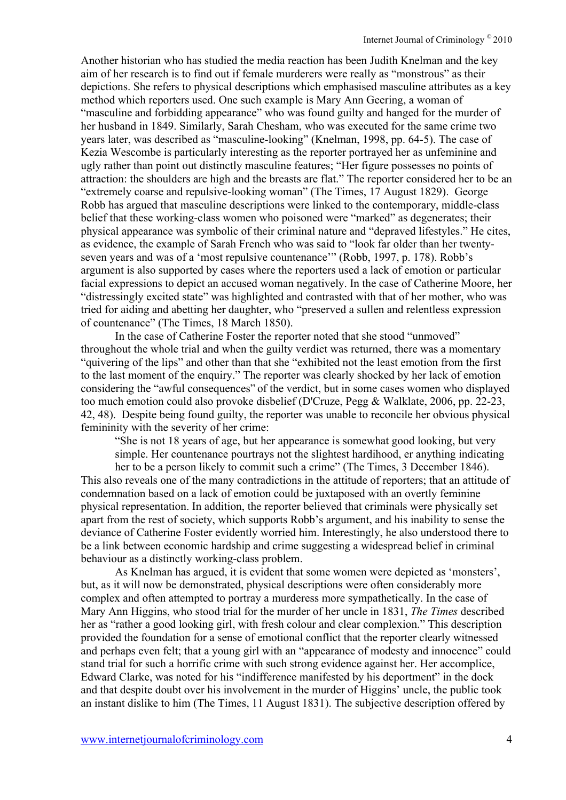Another historian who has studied the media reaction has been Judith Knelman and the key aim of her research is to find out if female murderers were really as "monstrous" as their depictions. She refers to physical descriptions which emphasised masculine attributes as a key method which reporters used. One such example is Mary Ann Geering, a woman of "masculine and forbidding appearance" who was found guilty and hanged for the murder of her husband in 1849. Similarly, Sarah Chesham, who was executed for the same crime two years later, was described as "masculine-looking" (Knelman, 1998, pp. 64-5). The case of Kezia Wescombe is particularly interesting as the reporter portrayed her as unfeminine and ugly rather than point out distinctly masculine features; "Her figure possesses no points of attraction: the shoulders are high and the breasts are flat." The reporter considered her to be an "extremely coarse and repulsive-looking woman" (The Times, 17 August 1829). George Robb has argued that masculine descriptions were linked to the contemporary, middle-class belief that these working-class women who poisoned were "marked" as degenerates; their physical appearance was symbolic of their criminal nature and "depraved lifestyles." He cites, as evidence, the example of Sarah French who was said to "look far older than her twentyseven years and was of a 'most repulsive countenance'" (Robb, 1997, p. 178). Robb's argument is also supported by cases where the reporters used a lack of emotion or particular facial expressions to depict an accused woman negatively. In the case of Catherine Moore, her "distressingly excited state" was highlighted and contrasted with that of her mother, who was tried for aiding and abetting her daughter, who "preserved a sullen and relentless expression of countenance" (The Times, 18 March 1850).

In the case of Catherine Foster the reporter noted that she stood "unmoved" throughout the whole trial and when the guilty verdict was returned, there was a momentary "quivering of the lips" and other than that she "exhibited not the least emotion from the first to the last moment of the enquiry." The reporter was clearly shocked by her lack of emotion considering the "awful consequences" of the verdict, but in some cases women who displayed too much emotion could also provoke disbelief (D'Cruze, Pegg & Walklate, 2006, pp. 22-23, 42, 48). Despite being found guilty, the reporter was unable to reconcile her obvious physical femininity with the severity of her crime:

"She is not 18 years of age, but her appearance is somewhat good looking, but very simple. Her countenance pourtrays not the slightest hardihood, er anything indicating

her to be a person likely to commit such a crime" (The Times, 3 December 1846). This also reveals one of the many contradictions in the attitude of reporters; that an attitude of condemnation based on a lack of emotion could be juxtaposed with an overtly feminine physical representation. In addition, the reporter believed that criminals were physically set apart from the rest of society, which supports Robb's argument, and his inability to sense the deviance of Catherine Foster evidently worried him. Interestingly, he also understood there to be a link between economic hardship and crime suggesting a widespread belief in criminal behaviour as a distinctly working-class problem.

As Knelman has argued, it is evident that some women were depicted as 'monsters', but, as it will now be demonstrated, physical descriptions were often considerably more complex and often attempted to portray a murderess more sympathetically. In the case of Mary Ann Higgins, who stood trial for the murder of her uncle in 1831, *The Times* described her as "rather a good looking girl, with fresh colour and clear complexion." This description provided the foundation for a sense of emotional conflict that the reporter clearly witnessed and perhaps even felt; that a young girl with an "appearance of modesty and innocence" could stand trial for such a horrific crime with such strong evidence against her. Her accomplice, Edward Clarke, was noted for his "indifference manifested by his deportment" in the dock and that despite doubt over his involvement in the murder of Higgins' uncle, the public took an instant dislike to him (The Times, 11 August 1831). The subjective description offered by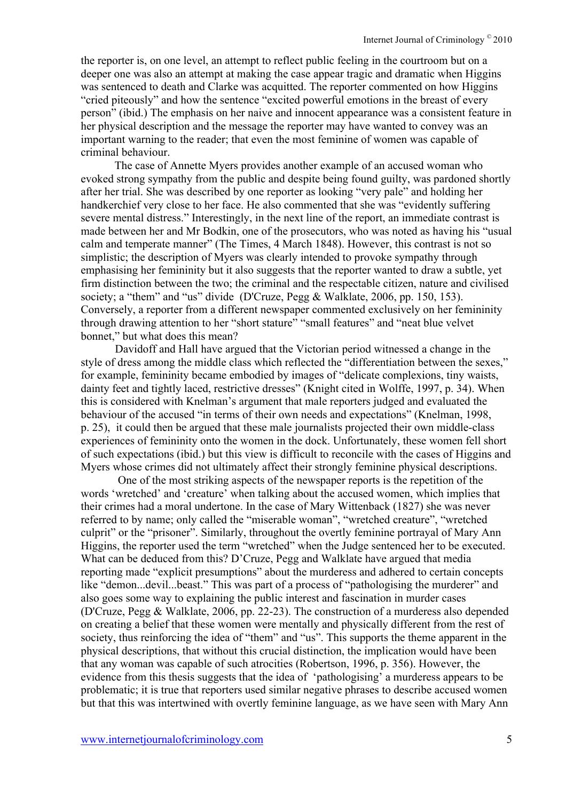the reporter is, on one level, an attempt to reflect public feeling in the courtroom but on a deeper one was also an attempt at making the case appear tragic and dramatic when Higgins was sentenced to death and Clarke was acquitted. The reporter commented on how Higgins "cried piteously" and how the sentence "excited powerful emotions in the breast of every person" (ibid.) The emphasis on her naive and innocent appearance was a consistent feature in her physical description and the message the reporter may have wanted to convey was an important warning to the reader; that even the most feminine of women was capable of criminal behaviour.

The case of Annette Myers provides another example of an accused woman who evoked strong sympathy from the public and despite being found guilty, was pardoned shortly after her trial. She was described by one reporter as looking "very pale" and holding her handkerchief very close to her face. He also commented that she was "evidently suffering severe mental distress." Interestingly, in the next line of the report, an immediate contrast is made between her and Mr Bodkin, one of the prosecutors, who was noted as having his "usual calm and temperate manner" (The Times, 4 March 1848). However, this contrast is not so simplistic; the description of Myers was clearly intended to provoke sympathy through emphasising her femininity but it also suggests that the reporter wanted to draw a subtle, yet firm distinction between the two; the criminal and the respectable citizen, nature and civilised society; a "them" and "us" divide (D'Cruze, Pegg & Walklate, 2006, pp. 150, 153). Conversely, a reporter from a different newspaper commented exclusively on her femininity through drawing attention to her "short stature" "small features" and "neat blue velvet bonnet," but what does this mean?

Davidoff and Hall have argued that the Victorian period witnessed a change in the style of dress among the middle class which reflected the "differentiation between the sexes," for example, femininity became embodied by images of "delicate complexions, tiny waists, dainty feet and tightly laced, restrictive dresses" (Knight cited in Wolffe, 1997, p. 34). When this is considered with Knelman's argument that male reporters judged and evaluated the behaviour of the accused "in terms of their own needs and expectations" (Knelman, 1998, p. 25), it could then be argued that these male journalists projected their own middle-class experiences of femininity onto the women in the dock. Unfortunately, these women fell short of such expectations (ibid.) but this view is difficult to reconcile with the cases of Higgins and Myers whose crimes did not ultimately affect their strongly feminine physical descriptions.

 One of the most striking aspects of the newspaper reports is the repetition of the words 'wretched' and 'creature' when talking about the accused women, which implies that their crimes had a moral undertone. In the case of Mary Wittenback (1827) she was never referred to by name; only called the "miserable woman", "wretched creature", "wretched culprit" or the "prisoner". Similarly, throughout the overtly feminine portrayal of Mary Ann Higgins, the reporter used the term "wretched" when the Judge sentenced her to be executed. What can be deduced from this? D'Cruze, Pegg and Walklate have argued that media reporting made "explicit presumptions" about the murderess and adhered to certain concepts like "demon...devil...beast." This was part of a process of "pathologising the murderer" and also goes some way to explaining the public interest and fascination in murder cases (D'Cruze, Pegg & Walklate, 2006, pp. 22-23). The construction of a murderess also depended on creating a belief that these women were mentally and physically different from the rest of society, thus reinforcing the idea of "them" and "us". This supports the theme apparent in the physical descriptions, that without this crucial distinction, the implication would have been that any woman was capable of such atrocities (Robertson, 1996, p. 356). However, the evidence from this thesis suggests that the idea of 'pathologising' a murderess appears to be problematic; it is true that reporters used similar negative phrases to describe accused women but that this was intertwined with overtly feminine language, as we have seen with Mary Ann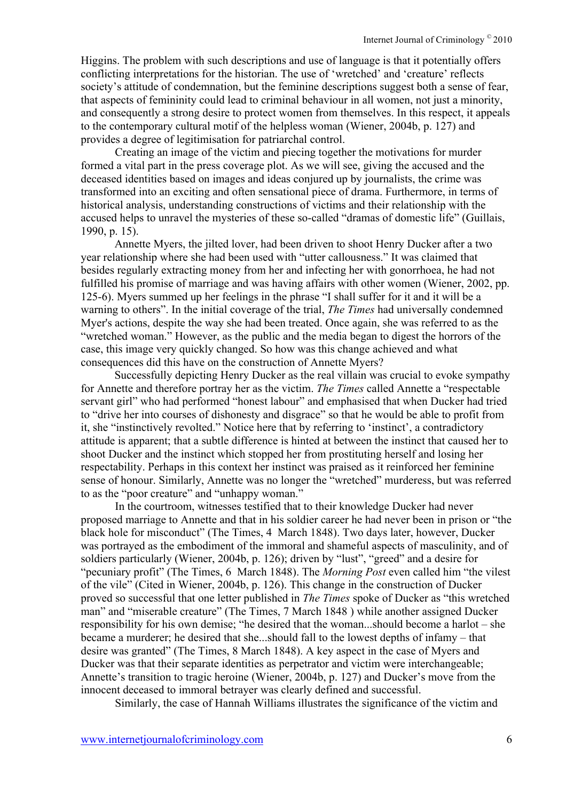Higgins. The problem with such descriptions and use of language is that it potentially offers conflicting interpretations for the historian. The use of 'wretched' and 'creature' reflects society's attitude of condemnation, but the feminine descriptions suggest both a sense of fear, that aspects of femininity could lead to criminal behaviour in all women, not just a minority, and consequently a strong desire to protect women from themselves. In this respect, it appeals to the contemporary cultural motif of the helpless woman (Wiener, 2004b, p. 127) and provides a degree of legitimisation for patriarchal control.

Creating an image of the victim and piecing together the motivations for murder formed a vital part in the press coverage plot. As we will see, giving the accused and the deceased identities based on images and ideas conjured up by journalists, the crime was transformed into an exciting and often sensational piece of drama. Furthermore, in terms of historical analysis, understanding constructions of victims and their relationship with the accused helps to unravel the mysteries of these so-called "dramas of domestic life" (Guillais, 1990, p. 15).

Annette Myers, the jilted lover, had been driven to shoot Henry Ducker after a two year relationship where she had been used with "utter callousness." It was claimed that besides regularly extracting money from her and infecting her with gonorrhoea, he had not fulfilled his promise of marriage and was having affairs with other women (Wiener, 2002, pp. 125-6). Myers summed up her feelings in the phrase "I shall suffer for it and it will be a warning to others". In the initial coverage of the trial, *The Times* had universally condemned Myer's actions, despite the way she had been treated. Once again, she was referred to as the "wretched woman." However, as the public and the media began to digest the horrors of the case, this image very quickly changed. So how was this change achieved and what consequences did this have on the construction of Annette Myers?

Successfully depicting Henry Ducker as the real villain was crucial to evoke sympathy for Annette and therefore portray her as the victim. *The Times* called Annette a "respectable servant girl" who had performed "honest labour" and emphasised that when Ducker had tried to "drive her into courses of dishonesty and disgrace" so that he would be able to profit from it, she "instinctively revolted." Notice here that by referring to 'instinct', a contradictory attitude is apparent; that a subtle difference is hinted at between the instinct that caused her to shoot Ducker and the instinct which stopped her from prostituting herself and losing her respectability. Perhaps in this context her instinct was praised as it reinforced her feminine sense of honour. Similarly, Annette was no longer the "wretched" murderess, but was referred to as the "poor creature" and "unhappy woman."

In the courtroom, witnesses testified that to their knowledge Ducker had never proposed marriage to Annette and that in his soldier career he had never been in prison or "the black hole for misconduct" (The Times, 4 March 1848). Two days later, however, Ducker was portrayed as the embodiment of the immoral and shameful aspects of masculinity, and of soldiers particularly (Wiener, 2004b, p. 126); driven by "lust", "greed" and a desire for "pecuniary profit" (The Times, 6 March 1848). The *Morning Post* even called him "the vilest of the vile" (Cited in Wiener, 2004b, p. 126). This change in the construction of Ducker proved so successful that one letter published in *The Times* spoke of Ducker as "this wretched man" and "miserable creature" (The Times, 7 March 1848 ) while another assigned Ducker responsibility for his own demise; "he desired that the woman...should become a harlot – she became a murderer; he desired that she...should fall to the lowest depths of infamy – that desire was granted" (The Times, 8 March 1848). A key aspect in the case of Myers and Ducker was that their separate identities as perpetrator and victim were interchangeable; Annette's transition to tragic heroine (Wiener, 2004b, p. 127) and Ducker's move from the innocent deceased to immoral betrayer was clearly defined and successful.

Similarly, the case of Hannah Williams illustrates the significance of the victim and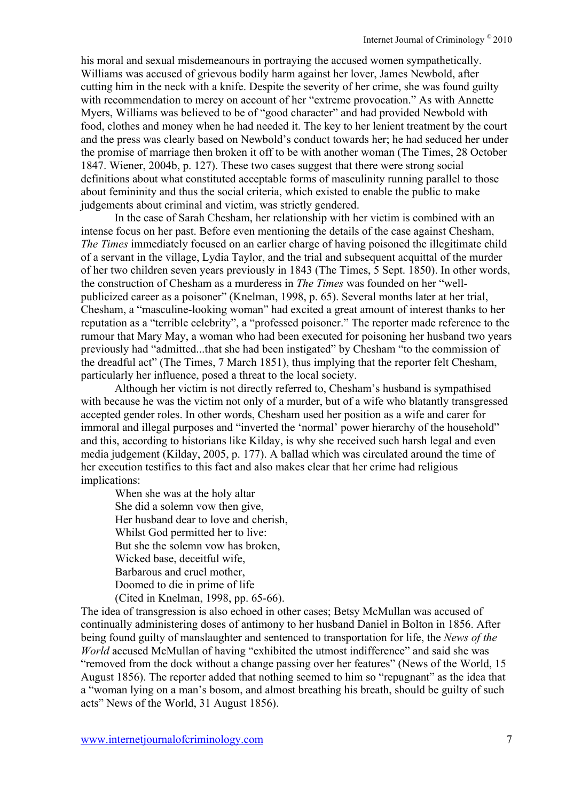his moral and sexual misdemeanours in portraying the accused women sympathetically. Williams was accused of grievous bodily harm against her lover, James Newbold, after cutting him in the neck with a knife. Despite the severity of her crime, she was found guilty with recommendation to mercy on account of her "extreme provocation." As with Annette Myers, Williams was believed to be of "good character" and had provided Newbold with food, clothes and money when he had needed it. The key to her lenient treatment by the court and the press was clearly based on Newbold's conduct towards her; he had seduced her under the promise of marriage then broken it off to be with another woman (The Times, 28 October 1847. Wiener, 2004b, p. 127). These two cases suggest that there were strong social definitions about what constituted acceptable forms of masculinity running parallel to those about femininity and thus the social criteria, which existed to enable the public to make judgements about criminal and victim, was strictly gendered.

In the case of Sarah Chesham, her relationship with her victim is combined with an intense focus on her past. Before even mentioning the details of the case against Chesham, *The Times* immediately focused on an earlier charge of having poisoned the illegitimate child of a servant in the village, Lydia Taylor, and the trial and subsequent acquittal of the murder of her two children seven years previously in 1843 (The Times, 5 Sept. 1850). In other words, the construction of Chesham as a murderess in *The Times* was founded on her "wellpublicized career as a poisoner" (Knelman, 1998, p. 65). Several months later at her trial, Chesham, a "masculine-looking woman" had excited a great amount of interest thanks to her reputation as a "terrible celebrity", a "professed poisoner." The reporter made reference to the rumour that Mary May, a woman who had been executed for poisoning her husband two years previously had "admitted...that she had been instigated" by Chesham "to the commission of the dreadful act" (The Times, 7 March 1851), thus implying that the reporter felt Chesham, particularly her influence, posed a threat to the local society.

Although her victim is not directly referred to, Chesham's husband is sympathised with because he was the victim not only of a murder, but of a wife who blatantly transgressed accepted gender roles. In other words, Chesham used her position as a wife and carer for immoral and illegal purposes and "inverted the 'normal' power hierarchy of the household" and this, according to historians like Kilday, is why she received such harsh legal and even media judgement (Kilday, 2005, p. 177). A ballad which was circulated around the time of her execution testifies to this fact and also makes clear that her crime had religious implications:

When she was at the holy altar She did a solemn vow then give, Her husband dear to love and cherish, Whilst God permitted her to live: But she the solemn vow has broken, Wicked base, deceitful wife, Barbarous and cruel mother, Doomed to die in prime of life (Cited in Knelman, 1998, pp. 65-66).

The idea of transgression is also echoed in other cases; Betsy McMullan was accused of continually administering doses of antimony to her husband Daniel in Bolton in 1856. After being found guilty of manslaughter and sentenced to transportation for life, the *News of the World* accused McMullan of having "exhibited the utmost indifference" and said she was "removed from the dock without a change passing over her features" (News of the World, 15 August 1856). The reporter added that nothing seemed to him so "repugnant" as the idea that a "woman lying on a man's bosom, and almost breathing his breath, should be guilty of such acts" News of the World, 31 August 1856).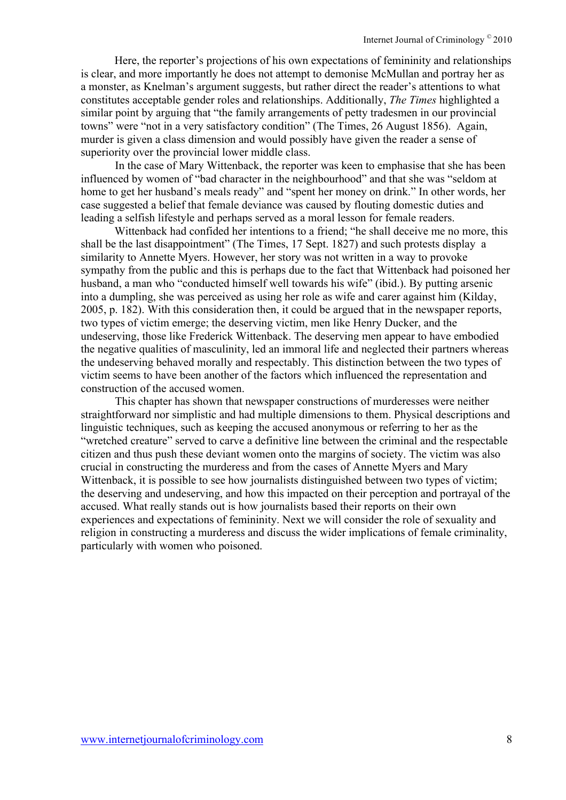Here, the reporter's projections of his own expectations of femininity and relationships is clear, and more importantly he does not attempt to demonise McMullan and portray her as a monster, as Knelman's argument suggests, but rather direct the reader's attentions to what constitutes acceptable gender roles and relationships. Additionally, *The Times* highlighted a similar point by arguing that "the family arrangements of petty tradesmen in our provincial towns" were "not in a very satisfactory condition" (The Times, 26 August 1856). Again, murder is given a class dimension and would possibly have given the reader a sense of superiority over the provincial lower middle class.

In the case of Mary Wittenback, the reporter was keen to emphasise that she has been influenced by women of "bad character in the neighbourhood" and that she was "seldom at home to get her husband's meals ready" and "spent her money on drink." In other words, her case suggested a belief that female deviance was caused by flouting domestic duties and leading a selfish lifestyle and perhaps served as a moral lesson for female readers.

Wittenback had confided her intentions to a friend; "he shall deceive me no more, this shall be the last disappointment" (The Times, 17 Sept. 1827) and such protests display a similarity to Annette Myers. However, her story was not written in a way to provoke sympathy from the public and this is perhaps due to the fact that Wittenback had poisoned her husband, a man who "conducted himself well towards his wife" (ibid.). By putting arsenic into a dumpling, she was perceived as using her role as wife and carer against him (Kilday, 2005, p. 182). With this consideration then, it could be argued that in the newspaper reports, two types of victim emerge; the deserving victim, men like Henry Ducker, and the undeserving, those like Frederick Wittenback. The deserving men appear to have embodied the negative qualities of masculinity, led an immoral life and neglected their partners whereas the undeserving behaved morally and respectably. This distinction between the two types of victim seems to have been another of the factors which influenced the representation and construction of the accused women.

This chapter has shown that newspaper constructions of murderesses were neither straightforward nor simplistic and had multiple dimensions to them. Physical descriptions and linguistic techniques, such as keeping the accused anonymous or referring to her as the "wretched creature" served to carve a definitive line between the criminal and the respectable citizen and thus push these deviant women onto the margins of society. The victim was also crucial in constructing the murderess and from the cases of Annette Myers and Mary Wittenback, it is possible to see how journalists distinguished between two types of victim; the deserving and undeserving, and how this impacted on their perception and portrayal of the accused. What really stands out is how journalists based their reports on their own experiences and expectations of femininity. Next we will consider the role of sexuality and religion in constructing a murderess and discuss the wider implications of female criminality, particularly with women who poisoned.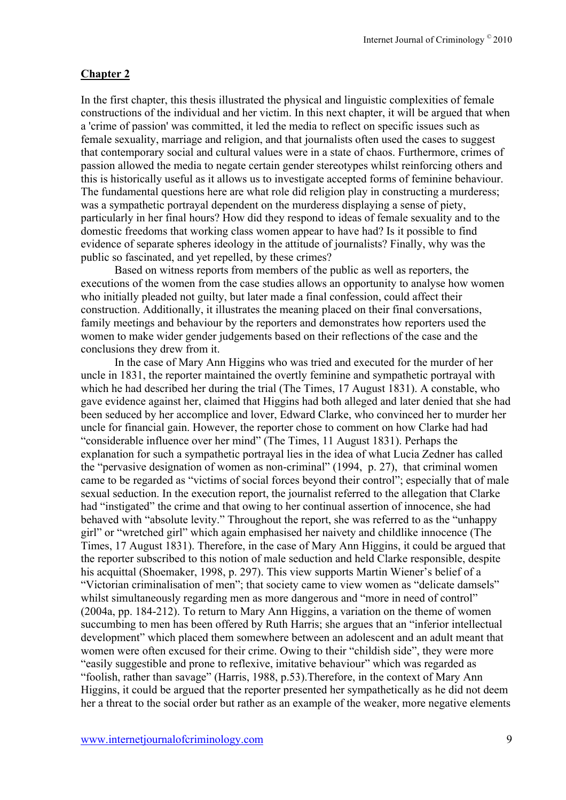# **Chapter 2**

In the first chapter, this thesis illustrated the physical and linguistic complexities of female constructions of the individual and her victim. In this next chapter, it will be argued that when a 'crime of passion' was committed, it led the media to reflect on specific issues such as female sexuality, marriage and religion, and that journalists often used the cases to suggest that contemporary social and cultural values were in a state of chaos. Furthermore, crimes of passion allowed the media to negate certain gender stereotypes whilst reinforcing others and this is historically useful as it allows us to investigate accepted forms of feminine behaviour. The fundamental questions here are what role did religion play in constructing a murderess; was a sympathetic portrayal dependent on the murderess displaying a sense of piety, particularly in her final hours? How did they respond to ideas of female sexuality and to the domestic freedoms that working class women appear to have had? Is it possible to find evidence of separate spheres ideology in the attitude of journalists? Finally, why was the public so fascinated, and yet repelled, by these crimes?

Based on witness reports from members of the public as well as reporters, the executions of the women from the case studies allows an opportunity to analyse how women who initially pleaded not guilty, but later made a final confession, could affect their construction. Additionally, it illustrates the meaning placed on their final conversations, family meetings and behaviour by the reporters and demonstrates how reporters used the women to make wider gender judgements based on their reflections of the case and the conclusions they drew from it.

In the case of Mary Ann Higgins who was tried and executed for the murder of her uncle in 1831, the reporter maintained the overtly feminine and sympathetic portrayal with which he had described her during the trial (The Times, 17 August 1831). A constable, who gave evidence against her, claimed that Higgins had both alleged and later denied that she had been seduced by her accomplice and lover, Edward Clarke, who convinced her to murder her uncle for financial gain. However, the reporter chose to comment on how Clarke had had "considerable influence over her mind" (The Times, 11 August 1831). Perhaps the explanation for such a sympathetic portrayal lies in the idea of what Lucia Zedner has called the "pervasive designation of women as non-criminal" (1994, p. 27), that criminal women came to be regarded as "victims of social forces beyond their control"; especially that of male sexual seduction. In the execution report, the journalist referred to the allegation that Clarke had "instigated" the crime and that owing to her continual assertion of innocence, she had behaved with "absolute levity." Throughout the report, she was referred to as the "unhappy girl" or "wretched girl" which again emphasised her naivety and childlike innocence (The Times, 17 August 1831). Therefore, in the case of Mary Ann Higgins, it could be argued that the reporter subscribed to this notion of male seduction and held Clarke responsible, despite his acquittal (Shoemaker, 1998, p. 297). This view supports Martin Wiener's belief of a "Victorian criminalisation of men"; that society came to view women as "delicate damsels" whilst simultaneously regarding men as more dangerous and "more in need of control" (2004a, pp. 184-212). To return to Mary Ann Higgins, a variation on the theme of women succumbing to men has been offered by Ruth Harris; she argues that an "inferior intellectual development" which placed them somewhere between an adolescent and an adult meant that women were often excused for their crime. Owing to their "childish side", they were more "easily suggestible and prone to reflexive, imitative behaviour" which was regarded as "foolish, rather than savage" (Harris, 1988, p.53).Therefore, in the context of Mary Ann Higgins, it could be argued that the reporter presented her sympathetically as he did not deem her a threat to the social order but rather as an example of the weaker, more negative elements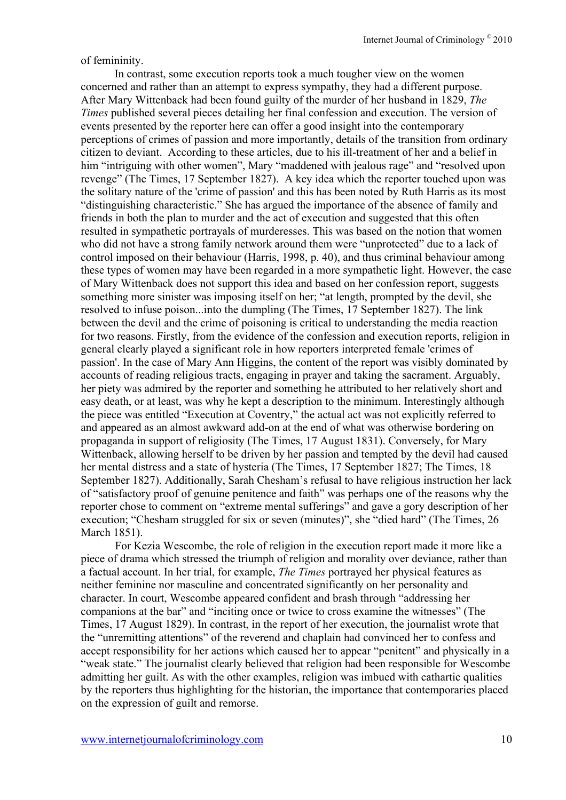#### of femininity.

In contrast, some execution reports took a much tougher view on the women concerned and rather than an attempt to express sympathy, they had a different purpose. After Mary Wittenback had been found guilty of the murder of her husband in 1829, *The Times* published several pieces detailing her final confession and execution. The version of events presented by the reporter here can offer a good insight into the contemporary perceptions of crimes of passion and more importantly, details of the transition from ordinary citizen to deviant. According to these articles, due to his ill-treatment of her and a belief in him "intriguing with other women", Mary "maddened with jealous rage" and "resolved upon revenge" (The Times, 17 September 1827). A key idea which the reporter touched upon was the solitary nature of the 'crime of passion' and this has been noted by Ruth Harris as its most "distinguishing characteristic." She has argued the importance of the absence of family and friends in both the plan to murder and the act of execution and suggested that this often resulted in sympathetic portrayals of murderesses. This was based on the notion that women who did not have a strong family network around them were "unprotected" due to a lack of control imposed on their behaviour (Harris, 1998, p. 40), and thus criminal behaviour among these types of women may have been regarded in a more sympathetic light. However, the case of Mary Wittenback does not support this idea and based on her confession report, suggests something more sinister was imposing itself on her; "at length, prompted by the devil, she resolved to infuse poison...into the dumpling (The Times, 17 September 1827). The link between the devil and the crime of poisoning is critical to understanding the media reaction for two reasons. Firstly, from the evidence of the confession and execution reports, religion in general clearly played a significant role in how reporters interpreted female 'crimes of passion'. In the case of Mary Ann Higgins, the content of the report was visibly dominated by accounts of reading religious tracts, engaging in prayer and taking the sacrament. Arguably, her piety was admired by the reporter and something he attributed to her relatively short and easy death, or at least, was why he kept a description to the minimum. Interestingly although the piece was entitled "Execution at Coventry," the actual act was not explicitly referred to and appeared as an almost awkward add-on at the end of what was otherwise bordering on propaganda in support of religiosity (The Times, 17 August 1831). Conversely, for Mary Wittenback, allowing herself to be driven by her passion and tempted by the devil had caused her mental distress and a state of hysteria (The Times, 17 September 1827; The Times, 18 September 1827). Additionally, Sarah Chesham's refusal to have religious instruction her lack of "satisfactory proof of genuine penitence and faith" was perhaps one of the reasons why the reporter chose to comment on "extreme mental sufferings" and gave a gory description of her execution; "Chesham struggled for six or seven (minutes)", she "died hard" (The Times, 26 March 1851).

For Kezia Wescombe, the role of religion in the execution report made it more like a piece of drama which stressed the triumph of religion and morality over deviance, rather than a factual account. In her trial, for example, *The Times* portrayed her physical features as neither feminine nor masculine and concentrated significantly on her personality and character. In court, Wescombe appeared confident and brash through "addressing her companions at the bar" and "inciting once or twice to cross examine the witnesses" (The Times, 17 August 1829). In contrast, in the report of her execution, the journalist wrote that the "unremitting attentions" of the reverend and chaplain had convinced her to confess and accept responsibility for her actions which caused her to appear "penitent" and physically in a "weak state." The journalist clearly believed that religion had been responsible for Wescombe admitting her guilt. As with the other examples, religion was imbued with cathartic qualities by the reporters thus highlighting for the historian, the importance that contemporaries placed on the expression of guilt and remorse.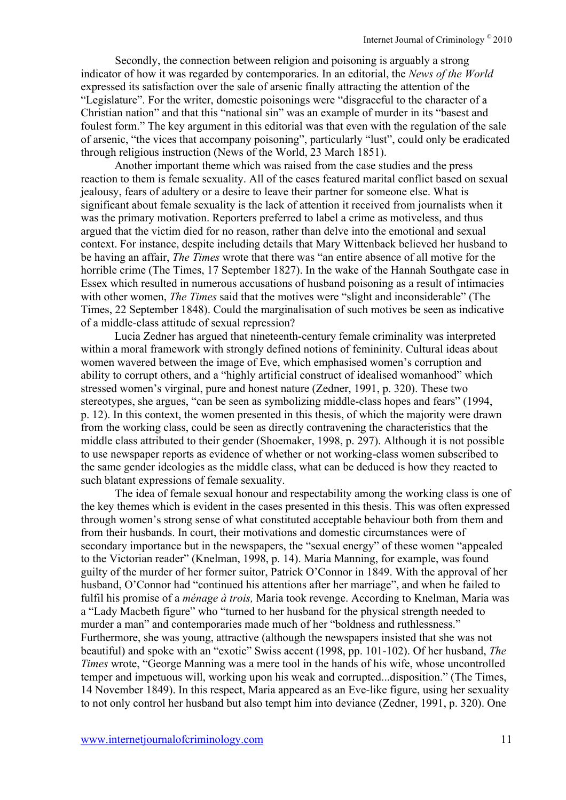Secondly, the connection between religion and poisoning is arguably a strong indicator of how it was regarded by contemporaries. In an editorial, the *News of the World*  expressed its satisfaction over the sale of arsenic finally attracting the attention of the "Legislature". For the writer, domestic poisonings were "disgraceful to the character of a Christian nation" and that this "national sin" was an example of murder in its "basest and foulest form." The key argument in this editorial was that even with the regulation of the sale of arsenic, "the vices that accompany poisoning", particularly "lust", could only be eradicated through religious instruction (News of the World, 23 March 1851).

Another important theme which was raised from the case studies and the press reaction to them is female sexuality. All of the cases featured marital conflict based on sexual jealousy, fears of adultery or a desire to leave their partner for someone else. What is significant about female sexuality is the lack of attention it received from journalists when it was the primary motivation. Reporters preferred to label a crime as motiveless, and thus argued that the victim died for no reason, rather than delve into the emotional and sexual context. For instance, despite including details that Mary Wittenback believed her husband to be having an affair, *The Times* wrote that there was "an entire absence of all motive for the horrible crime (The Times, 17 September 1827). In the wake of the Hannah Southgate case in Essex which resulted in numerous accusations of husband poisoning as a result of intimacies with other women, *The Times* said that the motives were "slight and inconsiderable" (The Times, 22 September 1848). Could the marginalisation of such motives be seen as indicative of a middle-class attitude of sexual repression?

Lucia Zedner has argued that nineteenth-century female criminality was interpreted within a moral framework with strongly defined notions of femininity. Cultural ideas about women wavered between the image of Eve, which emphasised women's corruption and ability to corrupt others, and a "highly artificial construct of idealised womanhood" which stressed women's virginal, pure and honest nature (Zedner, 1991, p. 320). These two stereotypes, she argues, "can be seen as symbolizing middle-class hopes and fears" (1994, p. 12). In this context, the women presented in this thesis, of which the majority were drawn from the working class, could be seen as directly contravening the characteristics that the middle class attributed to their gender (Shoemaker, 1998, p. 297). Although it is not possible to use newspaper reports as evidence of whether or not working-class women subscribed to the same gender ideologies as the middle class, what can be deduced is how they reacted to such blatant expressions of female sexuality.

The idea of female sexual honour and respectability among the working class is one of the key themes which is evident in the cases presented in this thesis. This was often expressed through women's strong sense of what constituted acceptable behaviour both from them and from their husbands. In court, their motivations and domestic circumstances were of secondary importance but in the newspapers, the "sexual energy" of these women "appealed to the Victorian reader" (Knelman, 1998, p. 14). Maria Manning, for example, was found guilty of the murder of her former suitor, Patrick O'Connor in 1849. With the approval of her husband, O'Connor had "continued his attentions after her marriage", and when he failed to fulfil his promise of a *ménage à trois,* Maria took revenge. According to Knelman, Maria was a "Lady Macbeth figure" who "turned to her husband for the physical strength needed to murder a man" and contemporaries made much of her "boldness and ruthlessness." Furthermore, she was young, attractive (although the newspapers insisted that she was not beautiful) and spoke with an "exotic" Swiss accent (1998, pp. 101-102). Of her husband, *The Times* wrote, "George Manning was a mere tool in the hands of his wife, whose uncontrolled temper and impetuous will, working upon his weak and corrupted...disposition." (The Times, 14 November 1849). In this respect, Maria appeared as an Eve-like figure, using her sexuality to not only control her husband but also tempt him into deviance (Zedner, 1991, p. 320). One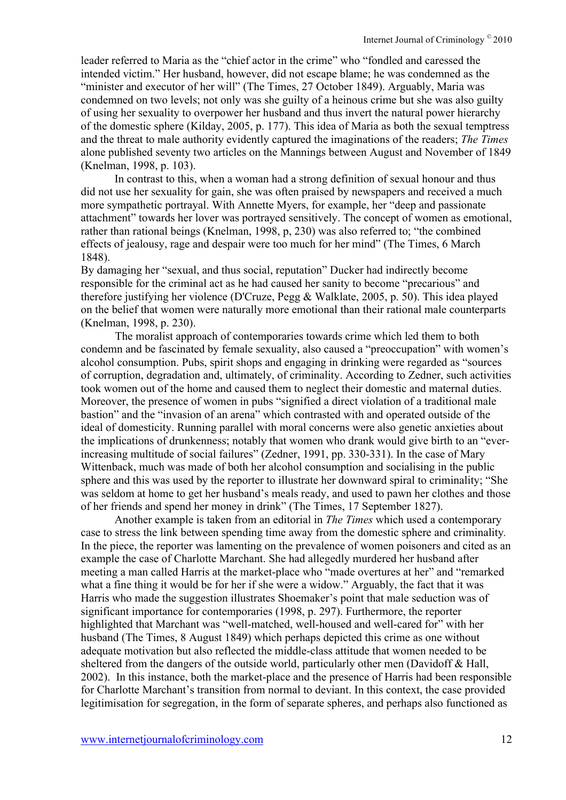leader referred to Maria as the "chief actor in the crime" who "fondled and caressed the intended victim." Her husband, however, did not escape blame; he was condemned as the "minister and executor of her will" (The Times, 27 October 1849). Arguably, Maria was condemned on two levels; not only was she guilty of a heinous crime but she was also guilty of using her sexuality to overpower her husband and thus invert the natural power hierarchy of the domestic sphere (Kilday, 2005, p. 177). This idea of Maria as both the sexual temptress and the threat to male authority evidently captured the imaginations of the readers; *The Times*  alone published seventy two articles on the Mannings between August and November of 1849 (Knelman, 1998, p. 103).

In contrast to this, when a woman had a strong definition of sexual honour and thus did not use her sexuality for gain, she was often praised by newspapers and received a much more sympathetic portrayal. With Annette Myers, for example, her "deep and passionate attachment" towards her lover was portrayed sensitively. The concept of women as emotional, rather than rational beings (Knelman, 1998, p, 230) was also referred to; "the combined effects of jealousy, rage and despair were too much for her mind" (The Times, 6 March 1848).

By damaging her "sexual, and thus social, reputation" Ducker had indirectly become responsible for the criminal act as he had caused her sanity to become "precarious" and therefore justifying her violence (D'Cruze, Pegg & Walklate, 2005, p. 50). This idea played on the belief that women were naturally more emotional than their rational male counterparts (Knelman, 1998, p. 230).

The moralist approach of contemporaries towards crime which led them to both condemn and be fascinated by female sexuality, also caused a "preoccupation" with women's alcohol consumption. Pubs, spirit shops and engaging in drinking were regarded as "sources of corruption, degradation and, ultimately, of criminality. According to Zedner, such activities took women out of the home and caused them to neglect their domestic and maternal duties. Moreover, the presence of women in pubs "signified a direct violation of a traditional male bastion" and the "invasion of an arena" which contrasted with and operated outside of the ideal of domesticity. Running parallel with moral concerns were also genetic anxieties about the implications of drunkenness; notably that women who drank would give birth to an "everincreasing multitude of social failures" (Zedner, 1991, pp. 330-331). In the case of Mary Wittenback, much was made of both her alcohol consumption and socialising in the public sphere and this was used by the reporter to illustrate her downward spiral to criminality; "She was seldom at home to get her husband's meals ready, and used to pawn her clothes and those of her friends and spend her money in drink" (The Times, 17 September 1827).

Another example is taken from an editorial in *The Times* which used a contemporary case to stress the link between spending time away from the domestic sphere and criminality*.*  In the piece, the reporter was lamenting on the prevalence of women poisoners and cited as an example the case of Charlotte Marchant. She had allegedly murdered her husband after meeting a man called Harris at the market-place who "made overtures at her" and "remarked what a fine thing it would be for her if she were a widow." Arguably, the fact that it was Harris who made the suggestion illustrates Shoemaker's point that male seduction was of significant importance for contemporaries (1998, p. 297). Furthermore, the reporter highlighted that Marchant was "well-matched, well-housed and well-cared for" with her husband (The Times, 8 August 1849) which perhaps depicted this crime as one without adequate motivation but also reflected the middle-class attitude that women needed to be sheltered from the dangers of the outside world, particularly other men (Davidoff  $\&$  Hall, 2002). In this instance, both the market-place and the presence of Harris had been responsible for Charlotte Marchant's transition from normal to deviant. In this context, the case provided legitimisation for segregation, in the form of separate spheres, and perhaps also functioned as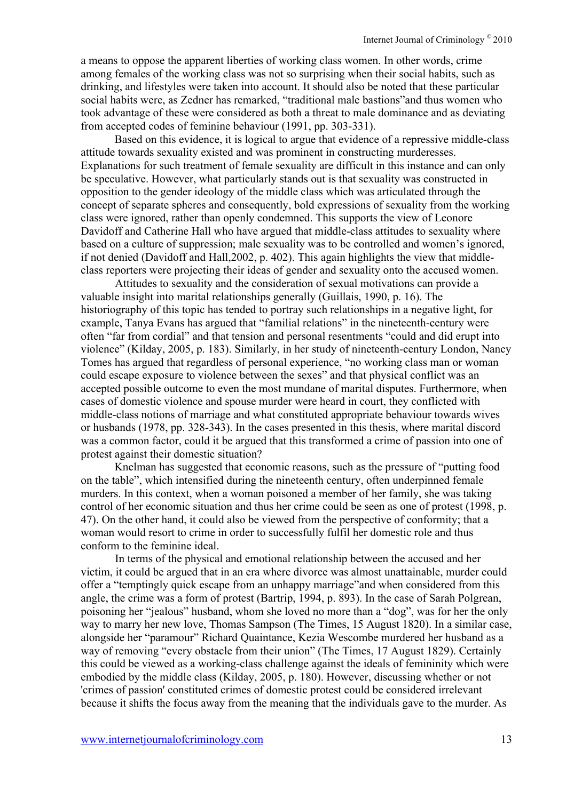a means to oppose the apparent liberties of working class women. In other words, crime among females of the working class was not so surprising when their social habits, such as drinking, and lifestyles were taken into account. It should also be noted that these particular social habits were, as Zedner has remarked, "traditional male bastions"and thus women who took advantage of these were considered as both a threat to male dominance and as deviating from accepted codes of feminine behaviour (1991, pp. 303-331).

Based on this evidence, it is logical to argue that evidence of a repressive middle-class attitude towards sexuality existed and was prominent in constructing murderesses. Explanations for such treatment of female sexuality are difficult in this instance and can only be speculative. However, what particularly stands out is that sexuality was constructed in opposition to the gender ideology of the middle class which was articulated through the concept of separate spheres and consequently, bold expressions of sexuality from the working class were ignored, rather than openly condemned. This supports the view of Leonore Davidoff and Catherine Hall who have argued that middle-class attitudes to sexuality where based on a culture of suppression; male sexuality was to be controlled and women's ignored, if not denied (Davidoff and Hall,2002, p. 402). This again highlights the view that middleclass reporters were projecting their ideas of gender and sexuality onto the accused women.

Attitudes to sexuality and the consideration of sexual motivations can provide a valuable insight into marital relationships generally (Guillais, 1990, p. 16). The historiography of this topic has tended to portray such relationships in a negative light, for example, Tanya Evans has argued that "familial relations" in the nineteenth-century were often "far from cordial" and that tension and personal resentments "could and did erupt into violence" (Kilday, 2005, p. 183). Similarly, in her study of nineteenth-century London, Nancy Tomes has argued that regardless of personal experience, "no working class man or woman could escape exposure to violence between the sexes" and that physical conflict was an accepted possible outcome to even the most mundane of marital disputes. Furthermore, when cases of domestic violence and spouse murder were heard in court, they conflicted with middle-class notions of marriage and what constituted appropriate behaviour towards wives or husbands (1978, pp. 328-343). In the cases presented in this thesis, where marital discord was a common factor, could it be argued that this transformed a crime of passion into one of protest against their domestic situation?

Knelman has suggested that economic reasons, such as the pressure of "putting food on the table", which intensified during the nineteenth century, often underpinned female murders. In this context, when a woman poisoned a member of her family, she was taking control of her economic situation and thus her crime could be seen as one of protest (1998, p. 47). On the other hand, it could also be viewed from the perspective of conformity; that a woman would resort to crime in order to successfully fulfil her domestic role and thus conform to the feminine ideal.

In terms of the physical and emotional relationship between the accused and her victim, it could be argued that in an era where divorce was almost unattainable, murder could offer a "temptingly quick escape from an unhappy marriage"and when considered from this angle, the crime was a form of protest (Bartrip, 1994, p. 893). In the case of Sarah Polgrean, poisoning her "jealous" husband, whom she loved no more than a "dog", was for her the only way to marry her new love, Thomas Sampson (The Times, 15 August 1820). In a similar case, alongside her "paramour" Richard Quaintance, Kezia Wescombe murdered her husband as a way of removing "every obstacle from their union" (The Times, 17 August 1829). Certainly this could be viewed as a working-class challenge against the ideals of femininity which were embodied by the middle class (Kilday, 2005, p. 180). However, discussing whether or not 'crimes of passion' constituted crimes of domestic protest could be considered irrelevant because it shifts the focus away from the meaning that the individuals gave to the murder. As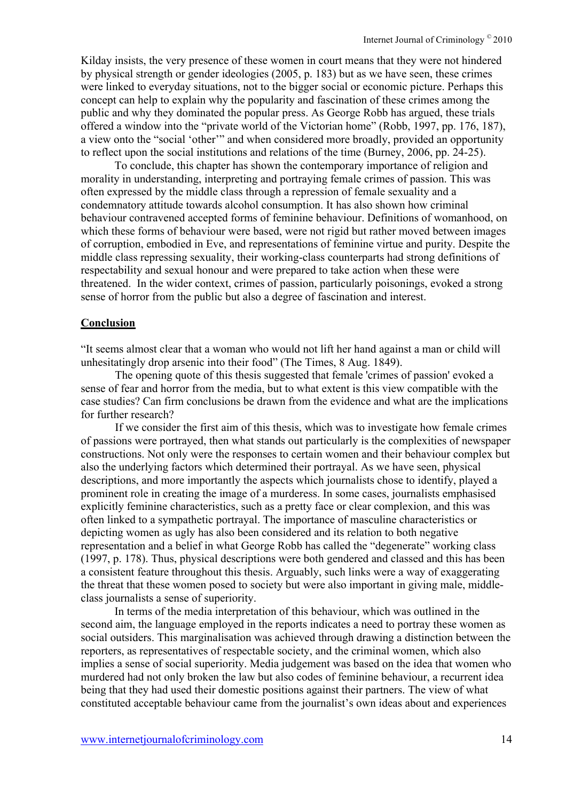Kilday insists, the very presence of these women in court means that they were not hindered by physical strength or gender ideologies (2005, p. 183) but as we have seen, these crimes were linked to everyday situations, not to the bigger social or economic picture. Perhaps this concept can help to explain why the popularity and fascination of these crimes among the public and why they dominated the popular press. As George Robb has argued, these trials offered a window into the "private world of the Victorian home" (Robb, 1997, pp. 176, 187), a view onto the "social 'other'" and when considered more broadly, provided an opportunity to reflect upon the social institutions and relations of the time (Burney, 2006, pp. 24-25).

To conclude, this chapter has shown the contemporary importance of religion and morality in understanding, interpreting and portraying female crimes of passion. This was often expressed by the middle class through a repression of female sexuality and a condemnatory attitude towards alcohol consumption. It has also shown how criminal behaviour contravened accepted forms of feminine behaviour. Definitions of womanhood, on which these forms of behaviour were based, were not rigid but rather moved between images of corruption, embodied in Eve, and representations of feminine virtue and purity. Despite the middle class repressing sexuality, their working-class counterparts had strong definitions of respectability and sexual honour and were prepared to take action when these were threatened. In the wider context, crimes of passion, particularly poisonings, evoked a strong sense of horror from the public but also a degree of fascination and interest.

#### **Conclusion**

"It seems almost clear that a woman who would not lift her hand against a man or child will unhesitatingly drop arsenic into their food" (The Times, 8 Aug. 1849).

The opening quote of this thesis suggested that female 'crimes of passion' evoked a sense of fear and horror from the media, but to what extent is this view compatible with the case studies? Can firm conclusions be drawn from the evidence and what are the implications for further research?

If we consider the first aim of this thesis, which was to investigate how female crimes of passions were portrayed, then what stands out particularly is the complexities of newspaper constructions. Not only were the responses to certain women and their behaviour complex but also the underlying factors which determined their portrayal. As we have seen, physical descriptions, and more importantly the aspects which journalists chose to identify, played a prominent role in creating the image of a murderess. In some cases, journalists emphasised explicitly feminine characteristics, such as a pretty face or clear complexion, and this was often linked to a sympathetic portrayal. The importance of masculine characteristics or depicting women as ugly has also been considered and its relation to both negative representation and a belief in what George Robb has called the "degenerate" working class (1997, p. 178). Thus, physical descriptions were both gendered and classed and this has been a consistent feature throughout this thesis. Arguably, such links were a way of exaggerating the threat that these women posed to society but were also important in giving male, middleclass journalists a sense of superiority.

In terms of the media interpretation of this behaviour, which was outlined in the second aim, the language employed in the reports indicates a need to portray these women as social outsiders. This marginalisation was achieved through drawing a distinction between the reporters, as representatives of respectable society, and the criminal women, which also implies a sense of social superiority. Media judgement was based on the idea that women who murdered had not only broken the law but also codes of feminine behaviour, a recurrent idea being that they had used their domestic positions against their partners. The view of what constituted acceptable behaviour came from the journalist's own ideas about and experiences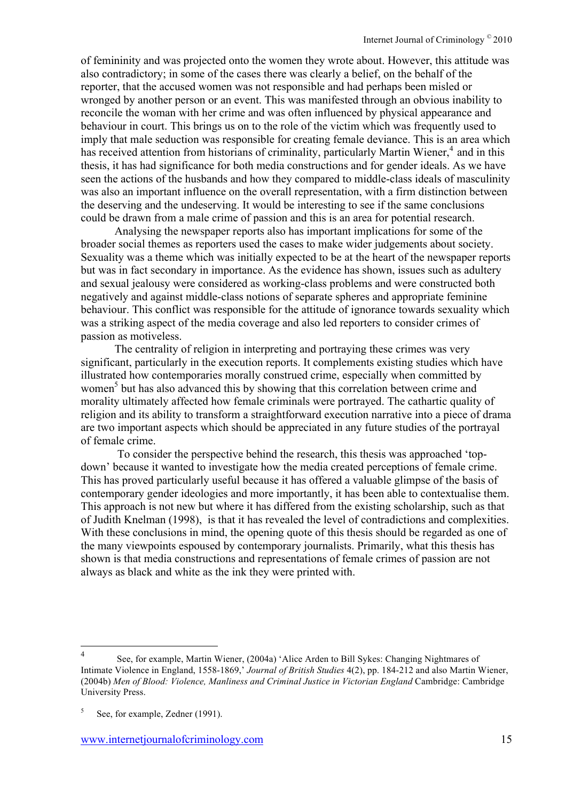of femininity and was projected onto the women they wrote about. However, this attitude was also contradictory; in some of the cases there was clearly a belief, on the behalf of the reporter, that the accused women was not responsible and had perhaps been misled or wronged by another person or an event. This was manifested through an obvious inability to reconcile the woman with her crime and was often influenced by physical appearance and behaviour in court. This brings us on to the role of the victim which was frequently used to imply that male seduction was responsible for creating female deviance. This is an area which has received attention from historians of criminality, particularly Martin Wiener, $4$  and in this thesis, it has had significance for both media constructions and for gender ideals. As we have seen the actions of the husbands and how they compared to middle-class ideals of masculinity was also an important influence on the overall representation, with a firm distinction between the deserving and the undeserving. It would be interesting to see if the same conclusions could be drawn from a male crime of passion and this is an area for potential research.

Analysing the newspaper reports also has important implications for some of the broader social themes as reporters used the cases to make wider judgements about society. Sexuality was a theme which was initially expected to be at the heart of the newspaper reports but was in fact secondary in importance. As the evidence has shown, issues such as adultery and sexual jealousy were considered as working-class problems and were constructed both negatively and against middle-class notions of separate spheres and appropriate feminine behaviour. This conflict was responsible for the attitude of ignorance towards sexuality which was a striking aspect of the media coverage and also led reporters to consider crimes of passion as motiveless.

The centrality of religion in interpreting and portraying these crimes was very significant, particularly in the execution reports. It complements existing studies which have illustrated how contemporaries morally construed crime, especially when committed by women<sup>5</sup> but has also advanced this by showing that this correlation between crime and morality ultimately affected how female criminals were portrayed. The cathartic quality of religion and its ability to transform a straightforward execution narrative into a piece of drama are two important aspects which should be appreciated in any future studies of the portrayal of female crime.

 To consider the perspective behind the research, this thesis was approached 'topdown' because it wanted to investigate how the media created perceptions of female crime. This has proved particularly useful because it has offered a valuable glimpse of the basis of contemporary gender ideologies and more importantly, it has been able to contextualise them. This approach is not new but where it has differed from the existing scholarship, such as that of Judith Knelman (1998), is that it has revealed the level of contradictions and complexities. With these conclusions in mind, the opening quote of this thesis should be regarded as one of the many viewpoints espoused by contemporary journalists. Primarily, what this thesis has shown is that media constructions and representations of female crimes of passion are not always as black and white as the ink they were printed with.

 <sup>4</sup> See, for example, Martin Wiener, (2004a) 'Alice Arden to Bill Sykes: Changing Nightmares of Intimate Violence in England, 1558-1869,' *Journal of British Studies* 4(2), pp. 184-212 and also Martin Wiener, (2004b) *Men of Blood: Violence, Manliness and Criminal Justice in Victorian England* Cambridge: Cambridge University Press.

 $5$  See, for example, Zedner (1991).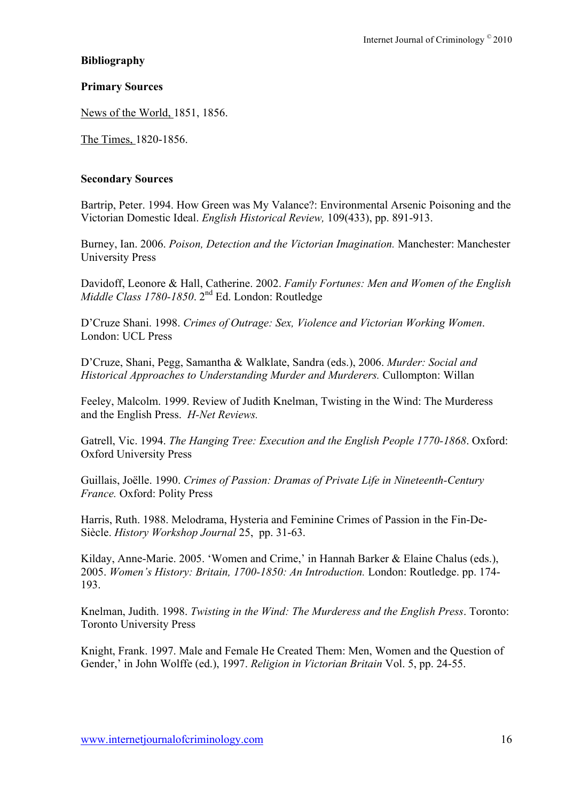# **Bibliography**

## **Primary Sources**

News of the World, 1851, 1856.

The Times, 1820-1856.

## **Secondary Sources**

Bartrip, Peter. 1994. How Green was My Valance?: Environmental Arsenic Poisoning and the Victorian Domestic Ideal. *English Historical Review,* 109(433), pp. 891-913.

Burney, Ian. 2006. *Poison, Detection and the Victorian Imagination.* Manchester: Manchester University Press

Davidoff, Leonore & Hall, Catherine. 2002. *Family Fortunes: Men and Women of the English Middle Class 1780-1850*. 2nd Ed. London: Routledge

D'Cruze Shani. 1998. *Crimes of Outrage: Sex, Violence and Victorian Working Women*. London: UCL Press

D'Cruze, Shani, Pegg, Samantha & Walklate, Sandra (eds.), 2006. *Murder: Social and Historical Approaches to Understanding Murder and Murderers.* Cullompton: Willan

Feeley, Malcolm. 1999. Review of Judith Knelman, Twisting in the Wind: The Murderess and the English Press. *H-Net Reviews.*

Gatrell, Vic. 1994. *The Hanging Tree: Execution and the English People 1770-1868*. Oxford: Oxford University Press

Guillais, Joëlle. 1990. *Crimes of Passion: Dramas of Private Life in Nineteenth-Century France.* Oxford: Polity Press

Harris, Ruth. 1988. Melodrama, Hysteria and Feminine Crimes of Passion in the Fin-De-Siècle. *History Workshop Journal* 25, pp. 31-63.

Kilday, Anne-Marie. 2005. 'Women and Crime,' in Hannah Barker & Elaine Chalus (eds.), 2005. *Women's History: Britain, 1700-1850: An Introduction.* London: Routledge. pp. 174- 193.

Knelman, Judith. 1998. *Twisting in the Wind: The Murderess and the English Press*. Toronto: Toronto University Press

Knight, Frank. 1997. Male and Female He Created Them: Men, Women and the Question of Gender,' in John Wolffe (ed.), 1997. *Religion in Victorian Britain* Vol. 5, pp. 24-55.